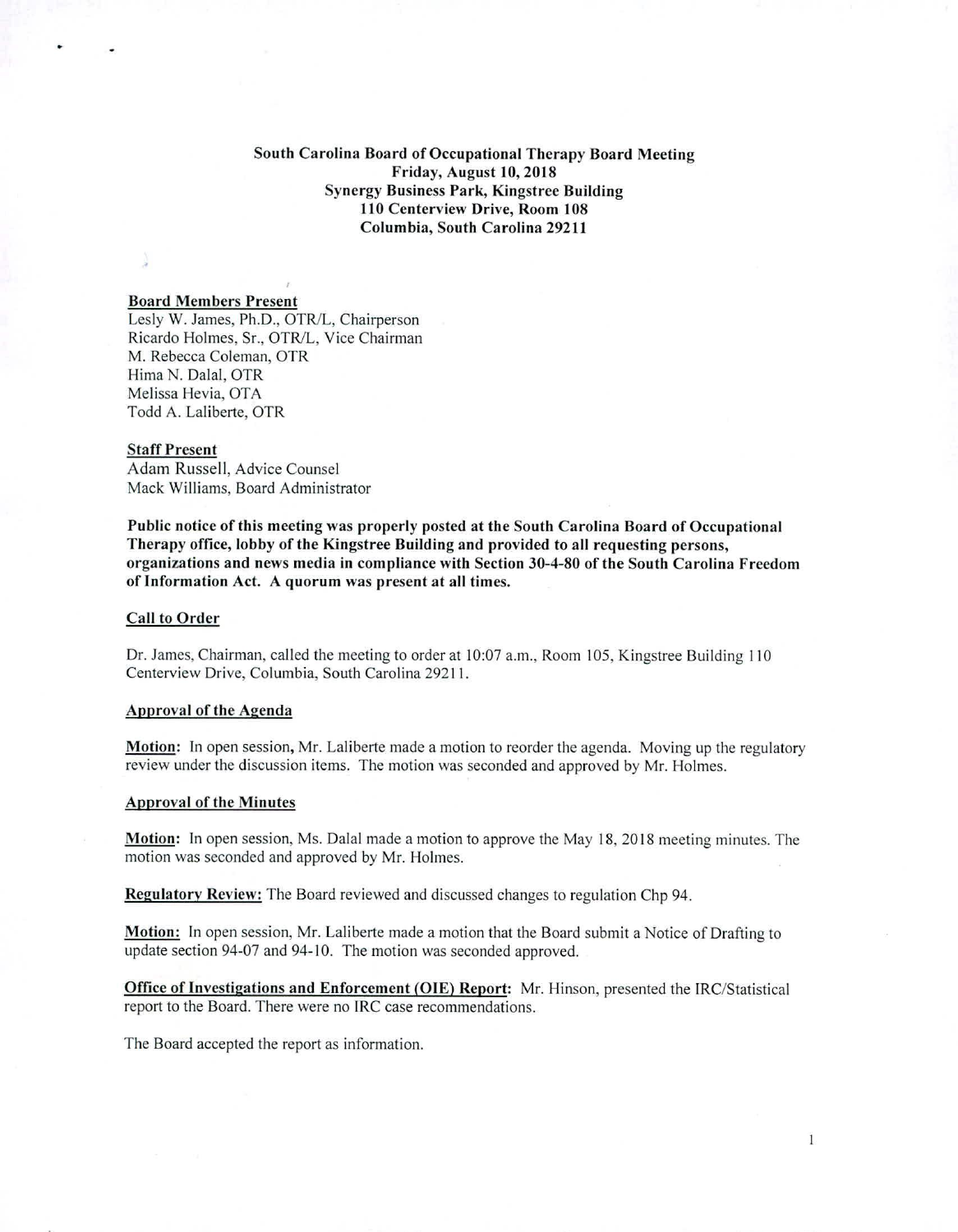## South Carolina Board of Occupational Therapy Board Meeting Friday, August 10, 2018 Synergy Business Park, Kingstree Building 110 Centerview Drive, Room 108 Columbia, South Carolina 29211

### Board Members Present

Lesly W. James, Ph.D., OTR/L, Chairperson Ricardo Holmes, Sr., OTR/L, Vice Chairman M. Rebecca Coleman, OTR Hima N. Dalal, OTR Melissa Hevia, OTA Todd A. Laliberte, OTR

#### Staff Present

Adam Russell, Advice Counsel Mack Williams, Board Administrator

Public notice of this meeting was properly posted at the South Carolina Board of Occupational Therapy office, lobby of the Kingstree Building and provided to all requesting persons, organizations and news media in compliance with Section 30-4-80 of the South Carolina Freedom of Information Act. A quorum was present at all times.

### Call to Order

Dr. James, Chairman, called the meeting to order at 10:07 a.m., Room 105, Kingstree Building 110 Centerview Drive, Columbia, South Carolina 29211.

#### Approval of the Agenda

Motion: In open session, Mr. Laliberte made a motion to reorder the agenda. Moving up the regulatory review under the discussion items. The motion was seconded and approved by Mr. Holmes.

### Approval of the Minutes

Motion: In open session, Ms. Dalai made a motion to approve the May 18, 2018 meeting minutes. The motion was seconded and approved by Mr. Holmes.

Regulatory Review: The Board reviewed and discussed changes to regulation Chp 94.

Motion: In open session, Mr. Laliberte made a motion that the Board submit a Notice of Drafting to update section 94-07 and 94-10. The motion was seconded approved.

Office of Investigations and Enforcement (OIE) Report: Mr. Hinson, presented the IRC/Statistical report to the Board. There were no IRC case recommendations.

The Board accepted the report as information.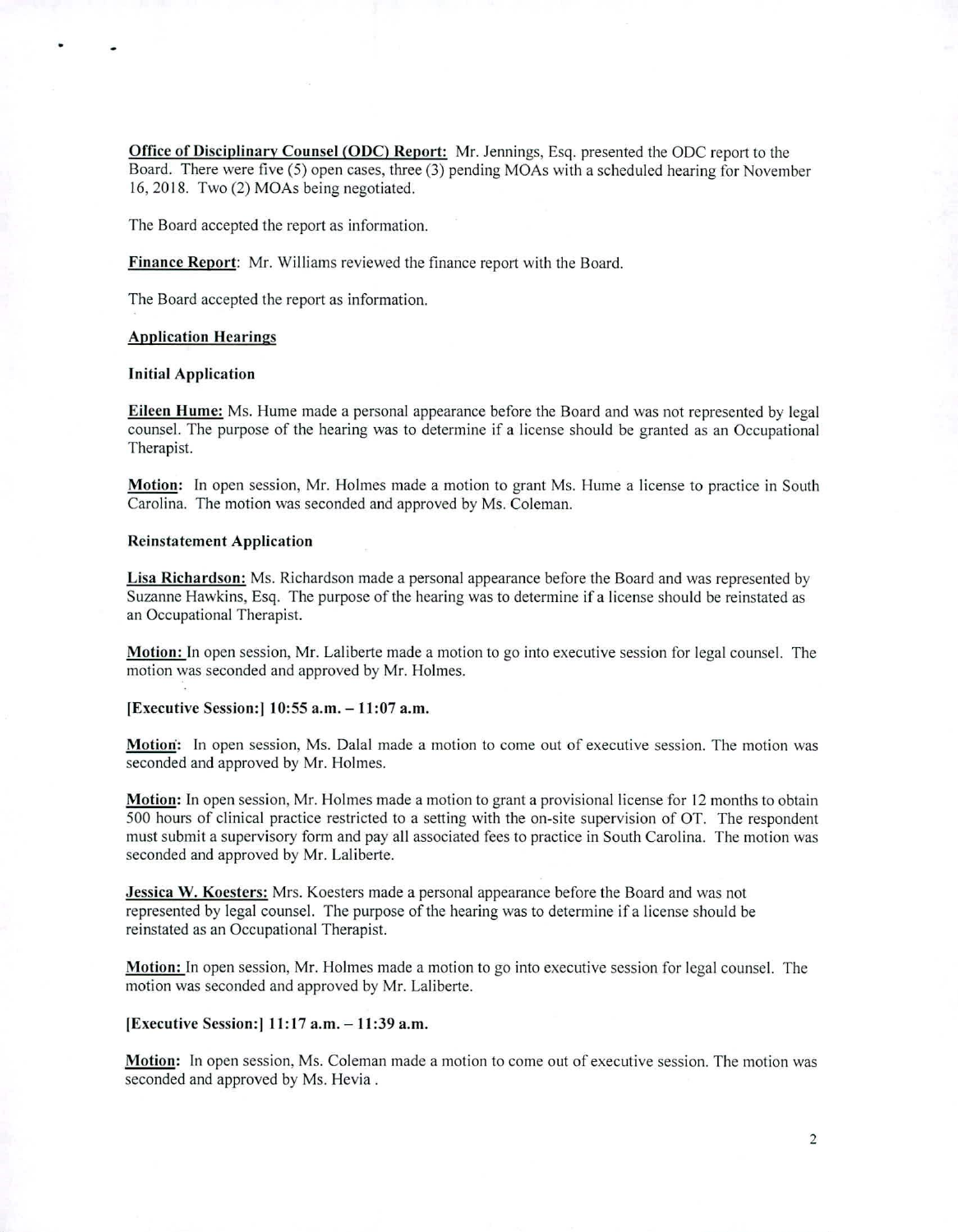**Office of Disciplinary Counsel (ODC) Report:** Mr. Jennings, Esq. presented the ODC report to the Board. There were five (5) open cases, three (3) pending MOAs with a scheduled hearing for November 16, 2018. Two  $(2)$  MOAs being negotiated.

The Board accepted the report as information.

**Finance Report:** Mr. Williams reviewed the finance report with the Board.

The Board accepted the report as information.

#### **Application Hearings**

### **Initial Application**

**Eileen Hume:** Ms. Hume made a personal appearance before the Board and was not represented by legal counsel. The purpose of the hearing was to determine if a license should be granted as an Occupational Therapist.

**Motion:** In open session, Mr. Holmes made a motion to grant Ms. Hume a license to practice in South Carolina. The motion was seconded and approved by Ms. Coleman.

### **Reinstatement Application**

**Lisa Richardson:** Ms. Richardson made a personal appearance before the Board and was represented by Suzanne Hawkins, Esq. The purpose of the hearing was to determine if a license should be reinstated as an Occupational Therapist.

**Motion:** In open session, Mr. Laliberte made a motion to go into executive session for legal counsel. The motion was seconded and approved by Mr. Holmes.

#### **[Executive Session:I 10:55 a.m. — 11:07 a.m.**

**Motion':** In open session, Ms. Dalai made a motion to come out of executive session. The motion was seconded and approved by Mr. Holmes.

**Motion:** In open session, Mr. Holmes made a motion to grant a provisional license for 12 months to obtain 500 hours of clinical practice restricted to a setting with the on-site supervision of OT. The respondent must submit a supervisory form and pay all associated fees to practice in South Carolina. The motion was seconded and approved by Mr. Laliberte.

**Jessica W. Koesters:** Mrs. Koesters made a personal appearance before the Board and was not represented by legal counsel. The purpose of the hearing was to determine if a license should be reinstated as an Occupational Therapist.

**Motion:** In open session, Mr. Holmes made a motion to go into executive session for legal counsel. The motion was seconded and approved by Mr. Laliberte.

#### **[Executive Session:I 11:17 a.m. —11:39 a.m.**

**Motion:** In open session, Ms. Coleman made a motion to come out of executive session. The motion was seconded and approved by Ms. Hevia .